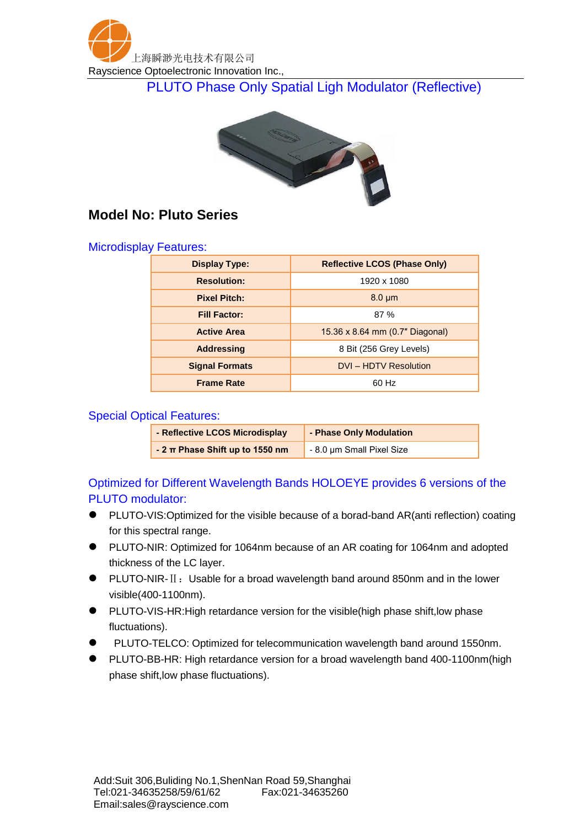

PLUTO Phase Only Spatial Ligh Modulator (Reflective)



## **Model No: Pluto Series**

## Microdisplay Features:

| <b>Display Type:</b>  | <b>Reflective LCOS (Phase Only)</b> |
|-----------------------|-------------------------------------|
| <b>Resolution:</b>    | 1920 x 1080                         |
| <b>Pixel Pitch:</b>   | $8.0 \mu m$                         |
| <b>Fill Factor:</b>   | 87%                                 |
| <b>Active Area</b>    | 15.36 x 8.64 mm (0.7" Diagonal)     |
| <b>Addressing</b>     | 8 Bit (256 Grey Levels)             |
| <b>Signal Formats</b> | <b>DVI-HDTV Resolution</b>          |
| <b>Frame Rate</b>     | 60 Hz                               |

## Special Optical Features:

| - Reflective LCOS Microdisplay      | - Phase Only Modulation   |
|-------------------------------------|---------------------------|
| - 2 $\pi$ Phase Shift up to 1550 nm | - 8.0 µm Small Pixel Size |

Optimized for Different Wavelength Bands HOLOEYE provides 6 versions of the PLUTO modulator:

- PLUTO-VIS:Optimized for the visible because of a borad-band AR(anti reflection) coating for this spectral range.
- PLUTO-NIR: Optimized for 1064nm because of an AR coating for 1064nm and adopted thickness of the LC layer.
- PLUTO-NIR-II: Usable for a broad wavelength band around 850nm and in the lower visible(400-1100nm).
- PLUTO-VIS-HR:High retardance version for the visible(high phase shift,low phase fluctuations).
- PLUTO-TELCO: Optimized for telecommunication wavelength band around 1550nm.
- PLUTO-BB-HR: High retardance version for a broad wavelength band 400-1100nm(high phase shift,low phase fluctuations).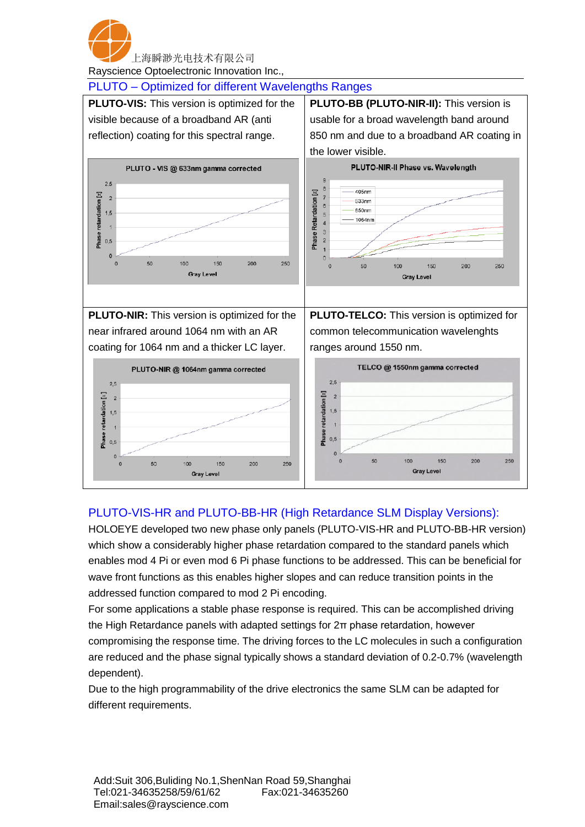

Rayscience Optoelectronic Innovation Inc.,



## PLUTO-VIS-HR and PLUTO-BB-HR (High Retardance SLM Display Versions):

HOLOEYE developed two new phase only panels (PLUTO-VIS-HR and PLUTO-BB-HR version) which show a considerably higher phase retardation compared to the standard panels which enables mod 4 Pi or even mod 6 Pi phase functions to be addressed. This can be beneficial for wave front functions as this enables higher slopes and can reduce transition points in the addressed function compared to mod 2 Pi encoding.

For some applications a stable phase response is required. This can be accomplished driving the High Retardance panels with adapted settings for 2π phase retardation, however compromising the response time. The driving forces to the LC molecules in such a configuration are reduced and the phase signal typically shows a standard deviation of 0.2-0.7% (wavelength dependent).

Due to the high programmability of the drive electronics the same SLM can be adapted for different requirements.